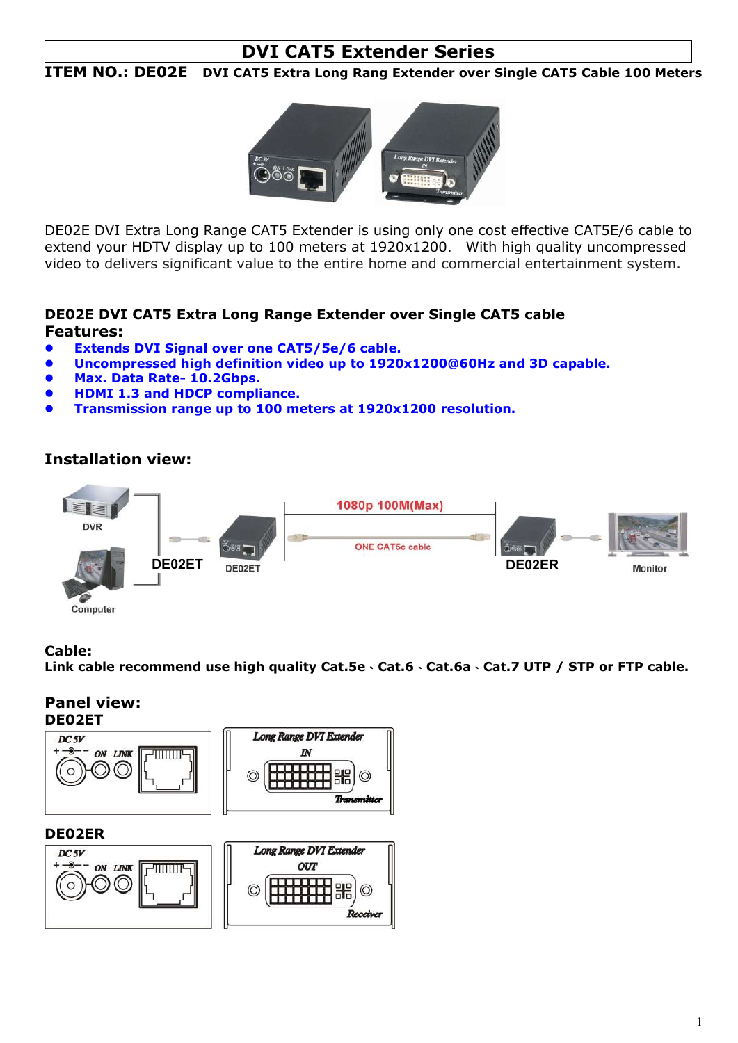# DVI CAT5 Extender Series

# ITEM NO.: DE02E DVI CAT5 Extra Long Rang Extender over Single CAT5 Cable 100 Meters



DE02E DVI Extra Long Range CAT5 Extender is using only one cost effective CAT5E/6 cable to extend your HDTV display up to 100 meters at 1920x1200. With high quality uncompressed video to delivers significant value to the entire home and commercial entertainment system.

# DE02E DVI CAT5 Extra Long Range Extender over Single CAT5 cable Features:

- Extends DVI Signal over one CAT5/5e/6 cable.
- Uncompressed high definition video up to 1920x1200@60Hz and 3D capable.
- Max. Data Rate- 10.2Gbps.
- HDMI 1.3 and HDCP compliance.
- Transmission range up to 100 meters at 1920x1200 resolution.

# Installation view:



#### Cable:

Link cable recommend use high quality Cat.5e、Cat.6、Cat.6a、Cat.7 UTP / STP or FTP cable.

#### Panel view: DE02ET



#### DE02ER